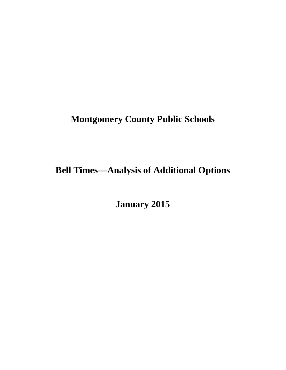# **Montgomery County Public Schools**

# **Bell Times—Analysis of Additional Options**

**January 2015**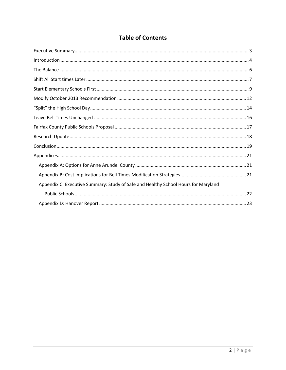# **Table of Contents**

| Appendix C: Executive Summary: Study of Safe and Healthy School Hours for Maryland |
|------------------------------------------------------------------------------------|
|                                                                                    |
|                                                                                    |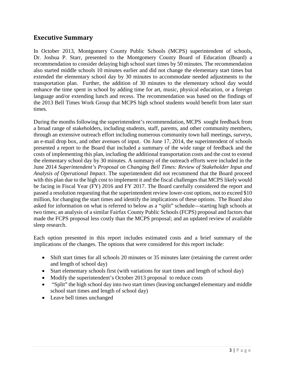# **Executive Summary**

In October 2013, Montgomery County Public Schools (MCPS) superintendent of schools, Dr. Joshua P. Starr, presented to the Montgomery County Board of Education (Board) a recommendation to consider delaying high school start times by 50 minutes. The recommendation also started middle schools 10 minutes earlier and did not change the elementary start times but extended the elementary school day by 30 minutes to accommodate needed adjustments to the transportation plan. Further, the addition of 30 minutes to the elementary school day would enhance the time spent in school by adding time for art, music, physical education, or a foreign language and/or extending lunch and recess. The recommendation was based on the findings of the 2013 Bell Times Work Group that MCPS high school students would benefit from later start times.

During the months following the superintendent's recommendation, MCPS sought feedback from a broad range of stakeholders, including students, staff, parents, and other community members, through an extensive outreach effort including numerous community town hall meetings, surveys, an e-mail drop box, and other avenues of input. On June 17, 2014, the superintendent of schools presented a report to the Board that included a summary of the wide range of feedback and the costs of implementing this plan, including the additional transportation costs and the cost to extend the elementary school day by 30 minutes. A summary of the outreach efforts were included in the June 2014 *Superintendent's Proposal on Changing Bell Times: Review of Stakeholder Input and Analysis of Operational Impact*. The superintendent did not recommend that the Board proceed with this plan due to the high cost to implement it and the fiscal challenges that MCPS likely would be facing in Fiscal Year (FY) 2016 and FY 2017. The Board carefully considered the report and passed a resolution requesting that the superintendent review lower-cost options, not to exceed \$10 million, for changing the start times and identify the implications of these options. The Board also asked for information on what is referred to below as a "split" schedule—starting high schools at two times; an analysis of a similar Fairfax County Public Schools (FCPS) proposal and factors that made the FCPS proposal less costly than the MCPS proposal; and an updated review of available sleep research.

Each option presented in this report includes estimated costs and a brief summary of the implications of the changes. The options that were considered for this report include:

- Shift start times for all schools 20 minutes or 35 minutes later (retaining the current order and length of school day)
- Start elementary schools first (with variations for start times and length of school day)
- Modify the superintendent's October 2013 proposal to reduce costs
- "Split" the high school day into two start times (leaving unchanged elementary and middle school start times and length of school day)
- Leave bell times unchanged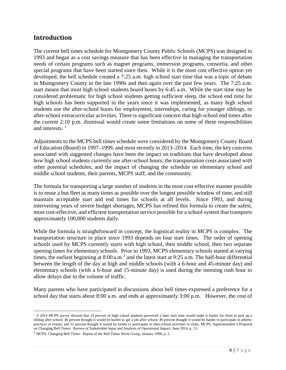# **Introduction**

The current bell times schedule for Montgomery County Public Schools (MCPS) was designed in 1993 and began as a cost savings measure that has been effective in managing the transportation needs of certain programs such as magnet programs, immersion programs, consortia, and other special programs that have been started since then. While it is the most cost effective option yet developed, the bell schedule created a 7:25 a.m. high school start time that was a topic of debate in Montgomery County in the late 1990s and then again over the past few years. The 7:25 a.m. start means that most high school students board buses by 6:45 a.m. While the start time may be considered problematic for high school students getting sufficient sleep, the school end time for high schools has been supported in the years since it was implemented, as many high school students use the after-school hours for employment, internships, caring for younger siblings, or after-school extracurricular activities. There is significant concern that high school end times after the current 2:10 p.m. dismissal would create some limitations on some of these responsibilities and interests.  $<sup>1</sup>$  $<sup>1</sup>$  $<sup>1</sup>$ </sup>

Adjustments to the MCPS bell times schedule were considered by the Montgomery County Board of Education (Board) in 1997–1999, and most recently in 2013–2014. Each time, the key concerns associated with suggested changes have been the impact on traditions that have developed about how high school students currently use after-school hours; the transportation costs associated with other potential schedules; and the impact of changing the schedule on elementary school and middle school students, their parents, MCPS staff, and the community.

The formula for transporting a large number of students in the most cost-effective manner possible is to reuse a bus fleet as many times as possible over the longest possible window of time, and still maintain acceptable start and end times for schools at all levels. Since 1993, and during intervening years of severe budget shortages, MCPS has refined this formula to create the safest, most cost-effective, and efficient transportation service possible for a school system that transports approximately 100,000 students daily.

While the formula is straightforward in concept, the logistical reality in MCPS is complex. The transportation structure in place since 1993 depends on four start times. The order of opening schools used by MCPS currently starts with high school, then middle school, then two separate opening times for elementary schools. Prior to 1993, MCPS elementary schools started at varying times, the earliest beginning at  $8:00$  a.m.<sup>[2](#page-3-1)</sup> and the latest start at  $9:25$  a.m. The half-hour differential between the length of the day at high and middle schools (with a 6-hour and 45-minute day) and elementary schools (with a 6-hour and 15-minute day) is used during the morning rush hour to allow delays due to the volume of traffic.

Many parents who have participated in discussions about bell times expressed a preference for a school day that starts about 8:00 a.m. and ends at approximately 3:00 p.m. However, the cost of

<span id="page-3-0"></span><sup>&</sup>lt;sup>1</sup> A 2014 MCPS survey showed that 19 percent of high school students perceived a later start time would make it harder for them to pick up a sibling after school; 46 percent thought it would be harder to get a job after school; 49 percent thought it would be harder to participate in athletic practices or events; and 52 percent thought it would be harder to participate in after-school activities or clubs. MCPS, Superintendent's Proposal on Changing Bell Times: Review of Stakeholder Input and Analysis of Operational Impact, June 2014, p. 13. l

<span id="page-3-1"></span><sup>2</sup> MCPS, Changing Bell Times: Report of the Bell Times Work Group, January 1998, p. 2.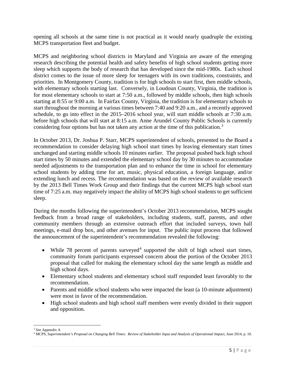opening all schools at the same time is not practical as it would nearly quadruple the existing MCPS transportation fleet and budget.

MCPS and neighboring school districts in Maryland and Virginia are aware of the emerging research describing the potential health and safety benefits of high school students getting more sleep which supports the body of research that has developed since the mid-1980s. Each school district comes to the issue of more sleep for teenagers with its own traditions, constraints, and priorities. In Montgomery County, tradition is for high schools to start first, then middle schools, with elementary schools starting last. Conversely, in Loudoun County, Virginia, the tradition is for most elementary schools to start at 7:50 a.m., followed by middle schools, then high schools starting at 8:55 or 9:00 a.m. In Fairfax County, Virginia, the tradition is for elementary schools to start throughout the morning at various times between 7:40 and 9:20 a.m., and a recently approved schedule, to go into effect in the 2015–2016 school year, will start middle schools at 7:30 a.m. before high schools that will start at 8:15 a.m. Anne Arundel County Public Schools is currently considering four options but has not taken any action at the time of this publication.<sup>[3](#page-4-0)</sup>

In October 2013, Dr. Joshua P. Starr, MCPS superintendent of schools, presented to the Board a recommendation to consider delaying high school start times by leaving elementary start times unchanged and starting middle schools 10 minutes earlier. The proposal pushed back high school start times by 50 minutes and extended the elementary school day by 30 minutes to accommodate needed adjustments to the transportation plan and to enhance the time in school for elementary school students by adding time for art, music, physical education, a foreign language, and/or extending lunch and recess. The recommendation was based on the review of available research by the 2013 Bell Times Work Group and their findings that the current MCPS high school start time of 7:25 a.m. may negatively impact the ability of MCPS high school students to get sufficient sleep.

During the months following the superintendent's October 2013 recommendation, MCPS sought feedback from a broad range of stakeholders, including students, staff, parents, and other community members through an extensive outreach effort that included surveys, town hall meetings, e-mail drop box, and other avenues for input. The public input process that followed the announcement of the superintendent's recommendation revealed the following:

- While 78 percent of parents surveyed<sup>[4](#page-4-1)</sup> supported the shift of high school start times, community forum participants expressed concern about the portion of the October 2013 proposal that called for making the elementary school day the same length as middle and high school days.
- Elementary school students and elementary school staff responded least favorably to the recommendation.
- Parents and middle school students who were impacted the least (a 10-minute adjustment) were most in favor of the recommendation.
- High school students and high school staff members were evenly divided in their support and opposition.

<sup>&</sup>lt;sup>3</sup> See Appendix A  $\overline{\phantom{a}}$ 

<span id="page-4-1"></span><span id="page-4-0"></span><sup>4</sup> MCPS, *Superintendent's Proposal on Changing Bell Times: Review of Stakeholder Input and Analysis of Operational Impact*, June 2014, p. 10.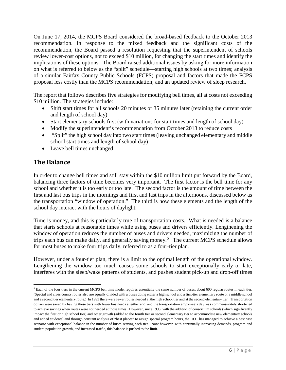On June 17, 2014, the MCPS Board considered the broad-based feedback to the October 2013 recommendation. In response to the mixed feedback and the significant costs of the recommendation, the Board passed a resolution requesting that the superintendent of schools review lower-cost options, not to exceed \$10 million, for changing the start times and identify the implications of these options. The Board raised additional issues by asking for more information on what is referred to below as the "split" schedule—starting high schools at two times; analysis of a similar Fairfax County Public Schools (FCPS) proposal and factors that made the FCPS proposal less costly than the MCPS recommendation; and an updated review of sleep research.

The report that follows describes five strategies for modifying bell times, all at costs not exceeding \$10 million. The strategies include:

- Shift start times for all schools 20 minutes or 35 minutes later (retaining the current order and length of school day)
- Start elementary schools first (with variations for start times and length of school day)
- Modify the superintendent's recommendation from October 2013 to reduce costs
- "Split" the high school day into two start times (leaving unchanged elementary and middle school start times and length of school day)
- Leave bell times unchanged

# **The Balance**

In order to change bell times and still stay within the \$10 million limit put forward by the Board, balancing three factors of time becomes very important. The first factor is the bell time for any school and whether it is too early or too late. The second factor is the amount of time between the first and last bus trips in the mornings and first and last trips in the afternoons, discussed below as the transportation "window of operation." The third is how these elements and the length of the school day interact with the hours of daylight.

Time is money, and this is particularly true of transportation costs. What is needed is a balance that starts schools at reasonable times while using buses and drivers efficiently. Lengthening the window of operation reduces the number of buses and drivers needed, maximizing the number of trips each bus can make daily, and generally saving money.<sup>[5](#page-5-0)</sup> The current MCPS schedule allows for most buses to make four trips daily, referred to as a four-tier plan.

However, under a four-tier plan, there is a limit to the optimal length of the operational window. Lengthening the window too much causes some schools to start exceptionally early or late, interferes with the sleep/wake patterns of students, and pushes student pick-up and drop-off times

<span id="page-5-0"></span><sup>&</sup>lt;sup>5</sup> Each of the four tiers in the current MCPS bell time model requires essentially the same number of buses, about 600 regular routes in each tier. (Special and cross county routes also are equally divided with a buses doing either a high school and a first-tier elementary route or a middle school and a second tier elementary route.) In 1993 there were fewer routes needed at the high school tier and at the second elementary tier. Transportation dollars were saved by having these tiers with fewer bus needs at either end, and the transportation employee's day was commensurately shortened to achieve savings when routes were not needed at those times. However, since 1993, with the addition of consortium schools (which significantly impact the first or high school tier) and other growth (added to the fourth tier or second elementary tier to accommodate new elementary schools and added students) and through constant analysis of "best places" to assign special program hours, the DOT has managed to achieve a best case scenario with exceptional balance in the number of buses serving each tier. Now however, with continually increasing demands, program and student population growth, and increased traffic, this balance is pushed to the limit. l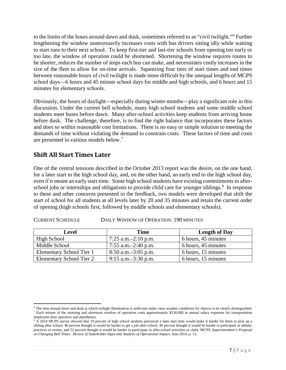to the limits of the hours around dawn and dusk, sometimes referred to as "civil twilight."[6](#page-6-0) Further lengthening the window unnecessarily increases costs with bus drivers sitting idly while waiting to start runs to their next school. To keep first-tier and last-tier schools from opening too early or too late, the window of operation could be shortened. Shortening the window requires routes to be shorter, reduces the number of stops each bus can make, and necessitates costly increases in the size of the fleet to allow for on-time arrivals. Squeezing four tiers of start times and end times between reasonable hours of civil twilight is made more difficult by the unequal lengths of MCPS school days—6 hours and 45 minute school days for middle and high schools, and 6 hours and 15 minutes for elementary schools.

Obviously, the hours of daylight—especially during winter months—play a significant role in this discussion. Under the current bell schedule, many high school students and some middle school students meet buses before dawn. Many after-school activities keep students from arriving home before dusk. The challenge, therefore, is to find the right balance that incorporates these factors and does so within reasonable cost limitations. There is no easy or simple solution to meeting the demands of time without violating the demand to constrain costs. These factors of time and costs are presented in various models below.<sup>[7](#page-6-1)</sup>

# **Shift All Start Times Later**

One of the central tensions described in the October 2013 report was the desire, on the one hand, for a later start to the high school day, and, on the other hand, an early end to the high school day, even if it meant an early start time. Some high school students have existing commitments to after-school jobs or internships and obligations to provide child care for younger siblings.<sup>[8](#page-6-2)</sup> In response to these and other concerns presented in the feedback, two models were developed that shift the start of school for all students at all levels later by 20 and 35 minutes and retain the current order of opening (high schools first, followed by middle schools and elementary schools).

| Level                    | <b>Time</b>              | <b>Length of Day</b> |
|--------------------------|--------------------------|----------------------|
| High School              | 7:25 a.m. $-2:10$ p.m.   | 6 hours, 45 minutes  |
| Middle School            | 7:55 a.m. $-2:40$ p.m.   | 6 hours, 45 minutes  |
| Elementary School Tier 1 | $8:50$ a.m. $-3:05$ p.m. | 6 hours, 15 minutes  |
| Elementary School Tier 2 | $9:15$ a.m. $-3:30$ p.m. | 6 hours, 15 minutes  |

#### CURRENT SCHEDULE DAILY WINDOW OF OPERATION: 190 MINUTES

<span id="page-6-0"></span> $6$  The time around dawn and dusk at which twilight illumination is sufficient under clear weather conditions for objects to be clearly distinguished. <sup>7</sup> Each minute of the morning and afternoon window of operation costs approximately \$130,000 in annual salary expenses for transportation employees (bus operators and attendants).  $\overline{\phantom{a}}$ 

<span id="page-6-2"></span><span id="page-6-1"></span> $8$  A 2014 MCPS survey showed that 19 percent of high school students perceived a later start time would make it harder for them to pick up a sibling after school; 46 percent thought it would be harder to get a job after school; 49 percent thought it would be harder to participate in athletic practices or events; and 52 percent thought it would be harder to participate in after-school activities or clubs. MCPS, *Superintendent's Proposal on Changing Bell Times: Review of Stakeholder Input and Analysis of Operational Impact*, June 2014, p. 13.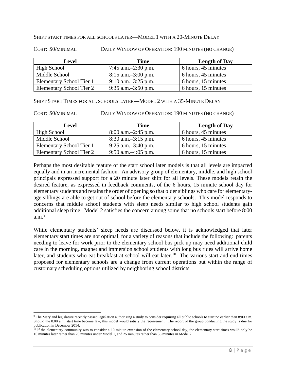#### SHIFT START TIMES FOR ALL SCHOOLS LATER—MODEL 1 WITH A 20-MINUTE DELAY

COST: \$0/MINIMAL DAILY WINDOW OF OPERATION: 190 MINUTES (NO CHANGE)

| Level                    | <b>Time</b>              | <b>Length of Day</b> |
|--------------------------|--------------------------|----------------------|
| High School              | 7:45 a.m. $-2:30$ p.m.   | 6 hours, 45 minutes  |
| Middle School            | $8:15$ a.m. $-3:00$ p.m. | 6 hours, 45 minutes  |
| Elementary School Tier 1 | $9:10$ a.m. $-3:25$ p.m. | 6 hours, 15 minutes  |
| Elementary School Tier 2 | 9:35 a.m. $-3:50$ p.m.   | 6 hours, 15 minutes  |

SHIFT START TIMES FOR ALL SCHOOLS LATER—MODEL 2 WITH A 35-MINUTE DELAY

COST:  $\frac{190 \text{ MINIMAL}}{}$  DAILY WINDOW OF OPERATION: 190 MINUTES (NO CHANGE)

| Level                    | <b>Time</b>              | <b>Length of Day</b> |
|--------------------------|--------------------------|----------------------|
| High School              | $8:00$ a.m. $-2:45$ p.m. | 6 hours, 45 minutes  |
| Middle School            | $8:30$ a.m. $-3:15$ p.m. | 6 hours, 45 minutes  |
| Elementary School Tier 1 | $9:25$ a.m. $-3:40$ p.m. | 6 hours, 15 minutes  |
| Elementary School Tier 2 | $9:50$ a.m. $-4:05$ p.m. | 6 hours, 15 minutes  |

Perhaps the most desirable feature of the start school later models is that all levels are impacted equally and in an incremental fashion. An advisory group of elementary, middle, and high school principals expressed support for a 20 minute later shift for all levels. These models retain the desired feature, as expressed in feedback comments, of the 6 hours, 15 minute school day for elementary students and retains the order of opening so that older siblings who care for elementaryage siblings are able to get out of school before the elementary schools. This model responds to concerns that middle school students with sleep needs similar to high school students gain additional sleep time. Model 2 satisfies the concern among some that no schools start before 8:00 a.m. $9$ 

While elementary students' sleep needs are discussed below, it is acknowledged that later elementary start times are not optimal, for a variety of reasons that include the following: parents needing to leave for work prior to the elementary school bus pick up may need additional child care in the morning, magnet and immersion school students with long bus rides will arrive home later, and students who eat breakfast at school will eat later.<sup>[10](#page-7-1)</sup> The various start and end times proposed for elementary schools are a change from current operations but within the range of customary scheduling options utilized by neighboring school districts.

l

<span id="page-7-0"></span><sup>&</sup>lt;sup>9</sup> The Maryland legislature recently passed legislation authorizing a study to consider requiring all public schools to start no earlier than 8:00 a.m. Should the 8:00 a.m. start time become law, this model would satisfy the requirement. The report of the group conducting the study is due for publication in December 2014.

<span id="page-7-1"></span> $10$  If the elementary community was to consider a 10-minute extension of the elementary school day, the elementary start times would only be 10 minutes later rather than 20 minutes under Model 1, and 25 minutes rather than 35 minutes in Model 2.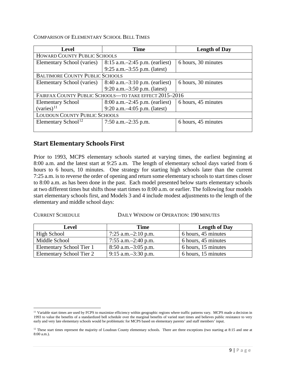COMPARISON OF ELEMENTARY SCHOOL BELL TIMES

| <b>Level</b>                                           | <b>Time</b>                         | <b>Length of Day</b> |  |
|--------------------------------------------------------|-------------------------------------|----------------------|--|
|                                                        | <b>HOWARD COUNTY PUBLIC SCHOOLS</b> |                      |  |
| Elementary School (varies)                             | $8:15$ a.m. $-2:45$ p.m. (earliest) | 6 hours, 30 minutes  |  |
|                                                        | 9:25 a.m. $-3:55$ p.m. (latest)     |                      |  |
| <b>BALTIMORE COUNTY PUBLIC SCHOOLS</b>                 |                                     |                      |  |
| Elementary School (varies)                             | $8:40$ a.m. $-3:10$ p.m. (earliest) | 6 hours, 30 minutes  |  |
|                                                        | 9:20 a.m. $-3:50$ p.m. (latest)     |                      |  |
| FAIRFAX COUNTY PUBLIC SCHOOLS-TO TAKE EFFECT 2015-2016 |                                     |                      |  |
| <b>Elementary School</b>                               | $8:00$ a.m. $-2:45$ p.m. (earliest) | 6 hours, 45 minutes  |  |
| $(varies)^{11}$                                        | 9:20 a.m. $-4:05$ p.m. (latest)     |                      |  |
| <b>LOUDOUN COUNTY PUBLIC SCHOOLS</b>                   |                                     |                      |  |
| Elementary School <sup>12</sup>                        | 7:50 a.m. $-2:35$ p.m.              | 6 hours, 45 minutes  |  |
|                                                        |                                     |                      |  |

## **Start Elementary Schools First**

Prior to 1993, MCPS elementary schools started at varying times, the earliest beginning at 8:00 a.m. and the latest start at 9:25 a.m. The length of elementary school days varied from 6 hours to 6 hours, 10 minutes. One strategy for starting high schools later than the current 7:25 a.m. is to reverse the order of opening and return some elementary schools to start times closer to 8:00 a.m. as has been done in the past. Each model presented below starts elementary schools at two different times but shifts those start times to 8:00 a.m. or earlier. The following four models start elementary schools first, and Models 3 and 4 include modest adjustments to the length of the elementary and middle school days:

CURRENT SCHEDULE DAILY WINDOW OF OPERATION: 190 MINUTES

| Level                           | <b>Time</b>              | <b>Length of Day</b> |
|---------------------------------|--------------------------|----------------------|
| High School                     | 7:25 a.m. $-2:10$ p.m.   | 6 hours, 45 minutes  |
| Middle School                   | 7:55 a.m. $-2:40$ p.m.   | 6 hours, 45 minutes  |
| Elementary School Tier 1        | $8:50$ a.m. $-3:05$ p.m. | 6 hours, 15 minutes  |
| <b>Elementary School Tier 2</b> | $9:15$ a.m. $-3:30$ p.m. | 6 hours, 15 minutes  |

<span id="page-8-0"></span><sup>&</sup>lt;sup>11</sup> Variable start times are used by FCPS to maximize efficiency within geographic regions where traffic patterns vary. MCPS made a decision in 1993 to value the benefits of a standardized bell schedule over the marginal benefits of varied start times and believes public resistance to very early and very late elementary schools would be problematic for MCPS based on elementary parents' and staff members' input.  $\overline{\phantom{a}}$ 

<span id="page-8-1"></span> $12$  These start times represent the majority of Loudoun County elementary schools. There are three exceptions (two starting at 8:15 and one at 8:00 a.m.).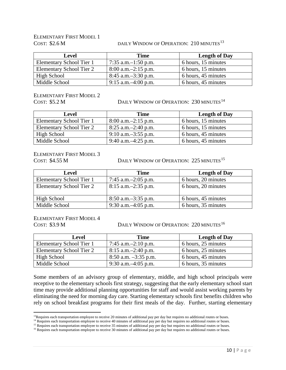# ELEMENTARY FIRST MODEL 1

#### COST: \$2.6 M DAILY WINDOW OF OPERATION: 210 MINUTES<sup>[13](#page-9-0)</sup>

| <b>Level</b>             | <b>Time</b>              | <b>Length of Day</b> |
|--------------------------|--------------------------|----------------------|
| Elementary School Tier 1 | 7:35 a.m. $-1:50$ p.m.   | 6 hours, 15 minutes  |
| Elementary School Tier 2 | $8:00$ a.m. $-2:15$ p.m. | 6 hours, 15 minutes  |
| High School              | $8:45$ a.m. $-3:30$ p.m. | 6 hours, 45 minutes  |
| Middle School            | $9:15$ a.m. $-4:00$ p.m. | 6 hours, 45 minutes  |

ELEMENTARY FIRST MODEL 2

COST: \$5.2 M DAILY WINDOW OF OPERATION: 230 MINUTES<sup>[14](#page-9-1)</sup>

| Level                    | <b>Time</b>              | <b>Length of Day</b> |
|--------------------------|--------------------------|----------------------|
| Elementary School Tier 1 | $8:00$ a.m. $-2:15$ p.m. | 6 hours, 15 minutes  |
| Elementary School Tier 2 | $8:25$ a.m. $-2:40$ p.m. | 6 hours, 15 minutes  |
| High School              | $9:10$ a.m. $-3:55$ p.m. | 6 hours, 45 minutes  |
| Middle School            | 9:40 a.m. $-4:25$ p.m.   | 6 hours, 45 minutes  |

ELEMENTARY FIRST MODEL 3

COST: \$4.55 M DAILY WINDOW OF OPERATION: 225 MINUTES<sup>[15](#page-9-2)</sup>

| <b>Level</b>                    | Time                     | <b>Length of Day</b> |
|---------------------------------|--------------------------|----------------------|
| Elementary School Tier 1        | 7:45 a.m. $-2:05$ p.m.   | 6 hours, 20 minutes  |
| <b>Elementary School Tier 2</b> | $8:15$ a.m. $-2:35$ p.m. | 6 hours, 20 minutes  |
| High School                     | $8:50$ a.m. $-3:35$ p.m. | 6 hours, 45 minutes  |
| Middle School                   | 9:30 a.m. $-4:05$ p.m.   | 6 hours, 35 minutes  |

### ELEMENTARY FIRST MODEL 4

COST: \$3.9 M DAILY WINDOW OF OPERATION: 220 MINUTES<sup>[16](#page-9-3)</sup>

| <b>Level</b>             | Time                     | <b>Length of Day</b> |
|--------------------------|--------------------------|----------------------|
| Elementary School Tier 1 | 7:45 a.m. $-2:10$ p.m.   | 6 hours, 25 minutes  |
| Elementary School Tier 2 | $8:15$ a.m. $-2:40$ p.m. | 6 hours, 25 minutes  |
| High School              | $8:50$ a.m. $-3:35$ p.m. | 6 hours, 45 minutes  |
| Middle School            | 9:30 a.m. $-4:05$ p.m.   | 6 hours, 35 minutes  |

Some members of an advisory group of elementary, middle, and high school principals were receptive to the elementary schools first strategy, suggesting that the early elementary school start time may provide additional planning opportunities for staff and would assist working parents by eliminating the need for morning day care. Starting elementary schools first benefits children who rely on school breakfast programs for their first meals of the day. Further, starting elementary

<sup>&</sup>lt;sup>13</sup>Requires each transportation employee to receive 20 minutes of additional pay per day but requires no additional routes or buses. l

<span id="page-9-2"></span><span id="page-9-1"></span><span id="page-9-0"></span><sup>&</sup>lt;sup>14</sup> Requires each transportation employee to receive 40 minutes of additional pay per day but requires no additional routes or buses.

<sup>&</sup>lt;sup>15</sup> Requires each transportation employee to receive 35 minutes of additional pay per day but requires no additional routes or buses.

<span id="page-9-3"></span><sup>&</sup>lt;sup>16</sup> Requires each transportation employee to receive 30 minutes of additional pay per day but requires no additional routes or buses.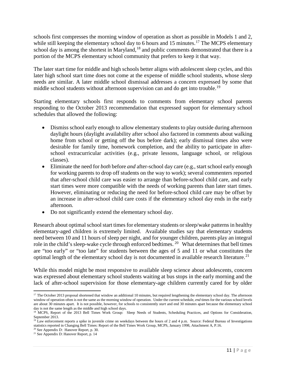schools first compresses the morning window of operation as short as possible in Models 1 and 2, while still keeping the elementary school day to 6 hours and 15 minutes.<sup>[17](#page-10-0)</sup> The MCPS elementary school day is among the shortest in Maryland,<sup>[18](#page-10-1)</sup> and public comments demonstrated that there is a portion of the MCPS elementary school community that prefers to keep it that way.

The later start time for middle and high schools better aligns with adolescent sleep cycles, and this later high school start time does not come at the expense of middle school students, whose sleep needs are similar. A later middle school dismissal addresses a concern expressed by some that middle school students without afternoon supervision can and do get into trouble.<sup>[19](#page-10-2)</sup>

Starting elementary schools first responds to comments from elementary school parents responding to the October 2013 recommendation that expressed support for elementary school schedules that allowed the following:

- Dismiss school early enough to allow elementary students to play outside during afternoon daylight hours (daylight availability after school also factored in comments about walking home from school or getting off the bus before dark); early dismissal times also were desirable for family time, homework completion, and the ability to participate in afterschool extracurricular activities (e.g., private lessons, language school, or religious classes).
- Eliminate the need for *both* before *and* after-school day care (e.g., start school early enough for working parents to drop off students on the way to work); several commenters reported that after-school child care was easier to arrange than before-school child care, and early start times were more compatible with the needs of working parents than later start times. However, eliminating or reducing the need for before-school child care may be offset by an increase in after-school child care costs if the elementary school day ends in the early afternoon.
- Do not significantly extend the elementary school day.

Research about optimal school start times for elementary students orsleep/wake patterns in healthy elementary-aged children is extremely limited. Available studies say that elementary students need between 10 and 11 hours of sleep per night, and for younger children, parents play an integral role in the child's sleep-wake cycle through enforced bedtimes. [20](#page-10-3) What determines that bell times are "too early" or "too late" for students between the ages of 5 and 11 or what constitutes the optimal length of the elementary school day is not documented in available research literature.<sup>[21](#page-10-4)</sup>

While this model might be most responsive to available sleep science about adolescents, concern was expressed about elementary school students waiting at bus stops in the early morning and the lack of after-school supervision for those elementary-age children currently cared for by older

<span id="page-10-0"></span> $17$  The October 2013 proposal shortened that window an additional 10 minutes, but required lengthening the elementary school day. The afternoon window of operation often is not the same as the morning window of operation. Under the current schedule, *end* times for the various school levels are about 30 minutes apart. It is not possible, however, for schools to consistently *start* and end 30 minutes apart because the elementary school day is not the same length as the middle and high school days.  $\overline{\phantom{a}}$ 

<span id="page-10-1"></span><sup>&</sup>lt;sup>18</sup> MCPS, Report of the 2013 Bell Times Work Group: Sleep Needs of Students, Scheduling Practices, and Options for Consideration, September 2013.

<span id="page-10-2"></span><sup>&</sup>lt;sup>19</sup> Law enforcement reports a spike in juvenile crime on weekdays between the hours of 2 and 4 p.m. Source: Federal Bureau of Investigations statistics reported in Changing Bell Times: Report of the Bell Times Work Group, MCPS, January 1998, Attachment A, P.16.

<sup>20</sup> See Appendix D: Hanover Report, p. 30.

<span id="page-10-4"></span><span id="page-10-3"></span><sup>21</sup> See Appendix D: Hanover Report, p. 14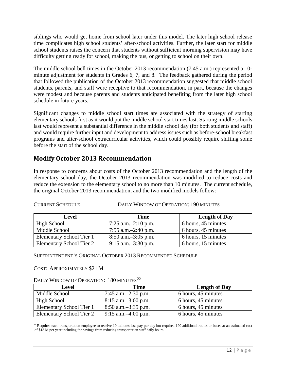siblings who would get home from school later under this model. The later high school release time complicates high school students' after-school activities. Further, the later start for middle school students raises the concern that students without sufficient morning supervision may have difficulty getting ready for school, making the bus, or getting to school on their own.

The middle school bell times in the October 2013 recommendation (7:45 a.m.) represented a 10 minute adjustment for students in Grades 6, 7, and 8. The feedback gathered during the period that followed the publication of the October 2013 recommendation suggested that middle school students, parents, and staff were receptive to that recommendation, in part, because the changes were modest and because parents and students anticipated benefiting from the later high school schedule in future years.

Significant changes to middle school start times are associated with the strategy of starting elementary schools first as it would put the middle school start times last. Starting middle schools last would represent a substantial difference in the middle school day (for both students and staff) and would require further input and development to address issues such as before-school breakfast programs and after-school extracurricular activities, which could possibly require shifting some before the start of the school day.

# **Modify October 2013 Recommendation**

In response to concerns about costs of the October 2013 recommendation and the length of the elementary school day, the October 2013 recommendation was modified to reduce costs and reduce the extension to the elementary school to no more than 10 minutes. The current schedule, the original October 2013 recommendation, and the two modified models follow:

| Level                    | <b>Time</b>              | <b>Length of Day</b> |
|--------------------------|--------------------------|----------------------|
| High School              | 7:25 a.m. $-2:10$ p.m.   | 6 hours, 45 minutes  |
| Middle School            | 7:55 a.m. $-2:40$ p.m.   | 6 hours, 45 minutes  |
| Elementary School Tier 1 | $8:50$ a.m. $-3:05$ p.m. | 6 hours, 15 minutes  |
| Elementary School Tier 2 | $9:15$ a.m. $-3:30$ p.m. | 6 hours, 15 minutes  |

CURRENT SCHEDULE DAILY WINDOW OF OPERATION: 190 MINUTES

SUPERINTENDENT'S ORIGINAL OCTOBER 2013 RECOMMENDED SCHEDULE

#### COST: APPROXIMATELY \$21 M

DAILY WINDOW OF OPERATION: 180 MINUTES<sup>[22](#page-11-0)</sup>

| <b>Level</b>             | <b>Time</b>              | <b>Length of Day</b> |
|--------------------------|--------------------------|----------------------|
| Middle School            | 7:45 a.m. $-2:30$ p.m.   | 6 hours, 45 minutes  |
| High School              | $8:15$ a.m. $-3:00$ p.m. | 6 hours, 45 minutes  |
| Elementary School Tier 1 | $8:50$ a.m. $-3:35$ p.m. | 6 hours, 45 minutes  |
| Elementary School Tier 2 | $9:15$ a.m. $-4:00$ p.m. | 6 hours, 45 minutes  |

<span id="page-11-0"></span> $^{22}$  Requires each transportation employee to receive 10 minutes less pay per day but required 190 additional routes or buses at an estimated cost of \$13 M per year including the savings from reducing transportation staff daily hours. l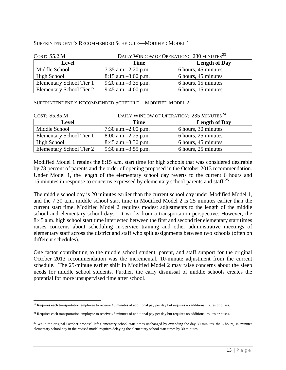#### SUPERINTENDENT'S RECOMMENDED SCHEDULE—MODIFIED MODEL 1

| COST: \$5.2 M            | DAILY WINDOW OF OPERATION: 230 MINUTES <sup>23</sup> |                      |
|--------------------------|------------------------------------------------------|----------------------|
| <b>Level</b>             | <b>Time</b>                                          | <b>Length of Day</b> |
| Middle School            | 7:35 a.m. $-2:20$ p.m.                               | 6 hours, 45 minutes  |
| <b>High School</b>       | $8:15$ a.m. $-3:00$ p.m.                             | 6 hours, 45 minutes  |
| Elementary School Tier 1 | $9:20$ a.m. $-3:35$ p.m.                             | 6 hours, 15 minutes  |
| Elementary School Tier 2 | 9:45 a.m. $-4:00$ p.m.                               | 6 hours, 15 minutes  |

SUPERINTENDENT'S RECOMMENDED SCHEDULE—MODIFIED MODEL 2

| COST: \$5.85 M                  | DAILY WINDOW OF OPERATION: 235 MINUTES <sup>24</sup> |                      |
|---------------------------------|------------------------------------------------------|----------------------|
| <b>Level</b>                    | <b>Time</b>                                          | <b>Length of Day</b> |
| Middle School                   | 7:30 a.m. $-2:00$ p.m.                               | 6 hours, 30 minutes  |
| Elementary School Tier 1        | $8:00$ a.m. $-2:25$ p.m.                             | 6 hours, 25 minutes  |
| High School                     | $8:45$ a.m. $-3:30$ p.m.                             | 6 hours, 45 minutes  |
| <b>Elementary School Tier 2</b> | 9:30 a.m. $-3:55$ p.m.                               | 6 hours, 25 minutes  |

Modified Model 1 retains the 8:15 a.m. start time for high schools that was considered desirable by 78 percent of parents and the order of opening proposed in the October 2013 recommendation. Under Model 1, the length of the elementary school day reverts to the current 6 hours and 15 minutes in response to concerns expressed by elementary school parents and staff. [25](#page-12-2)

The middle school day is 20 minutes earlier than the current school day under Modified Model 1, and the 7:30 a.m. middle school start time in Modified Model 2 is 25 minutes earlier than the current start time. Modified Model 2 requires modest adjustments to the length of the middle school and elementary school days. It works from a transportation perspective. However, the 8:45 a.m. high school start time interjected between the first and second tier elementary start times raises concerns about scheduling in-service training and other administrative meetings of elementary staff across the district and staff who split assignments between two schools (often on different schedules).

One factor contributing to the middle school student, parent, and staff support for the original October 2013 recommendation was the incremental, 10-minute adjustment from the current schedule. The 25-minute earlier shift in Modified Model 2 may raise concerns about the sleep needs for middle school students. Further, the early dismissal of middle schools creates the potential for more unsupervised time after school.

<span id="page-12-0"></span> $23$  Requires each transportation employee to receive 40 minutes of additional pay per day but requires no additional routes or buses.  $\overline{\phantom{a}}$ 

<span id="page-12-1"></span><sup>&</sup>lt;sup>24</sup> Requires each transportation employee to receive 45 minutes of additional pay per day but requires no additional routes or buses.

<span id="page-12-2"></span><sup>&</sup>lt;sup>25</sup> While the original October proposal left elementary school start times unchanged by extending the day 30 minutes, the 6 hours, 15 minutes elementary school day in the revised model requires delaying the elementary school start times by 30 minutes.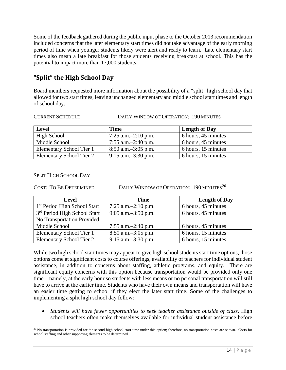Some of the feedback gathered during the public input phase to the October 2013 recommendation included concerns that the later elementary start times did not take advantage of the early morning period of time when younger students likely were alert and ready to learn. Late elementary start times also mean a late breakfast for those students receiving breakfast at school. This has the potential to impact more than 17,000 students.

# **"Split" the High School Day**

Board members requested more information about the possibility of a "split" high school day that allowed for two start times, leaving unchanged elementary and middle school start times and length of school day.

#### CURRENT SCHEDULE DAILY WINDOW OF OPERATION: 190 MINUTES

| <b>Level</b>             | <b>Time</b>              | <b>Length of Day</b> |
|--------------------------|--------------------------|----------------------|
| <b>High School</b>       | 7:25 a.m. $-2:10$ p.m.   | 6 hours, 45 minutes  |
| Middle School            | 7:55 a.m. $-2:40$ p.m.   | 6 hours, 45 minutes  |
| Elementary School Tier 1 | $8:50$ a.m. $-3:05$ p.m. | 6 hours, 15 minutes  |
| Elementary School Tier 2 | $9:15$ a.m. $-3:30$ p.m. | 6 hours, 15 minutes  |

#### SPLIT HIGH SCHOOL DAY

COST: TO BE DETERMINED DAILY WINDOW OF OPERATION:  $190$  MINUTES<sup>[26](#page-13-0)</sup>

| <b>Level</b>                             | <b>Time</b>              | <b>Length of Day</b> |
|------------------------------------------|--------------------------|----------------------|
| 1 <sup>st</sup> Period High School Start | 7:25 a.m. $-2:10$ p.m.   | 6 hours, 45 minutes  |
| 3 <sup>rd</sup> Period High School Start | $9:05$ a.m. $-3:50$ p.m. | 6 hours, 45 minutes  |
| No Transportation Provided               |                          |                      |
| Middle School                            | 7:55 a.m. $-2:40$ p.m.   | 6 hours, 45 minutes  |
| Elementary School Tier 1                 | $8:50$ a.m. $-3:05$ p.m. | 6 hours, 15 minutes  |
| <b>Elementary School Tier 2</b>          | $9:15$ a.m. $-3:30$ p.m. | 6 hours, 15 minutes  |

While two high school start times may appear to give high school students start time options, those options come at significant costs to course offerings, availability of teachers for individual student assistance, in addition to concerns about staffing, athletic programs, and equity. There are significant equity concerns with this option because transportation would be provided only one time—namely, at the early hour so students with less means or no personal transportation will still have to arrive at the earlier time. Students who have their own means and transportation will have an easier time getting to school if they elect the later start time. Some of the challenges to implementing a split high school day follow:

• *Students will have fewer opportunities to seek teacher assistance outside of class*. High school teachers often make themselves available for individual student assistance before

<span id="page-13-0"></span><sup>&</sup>lt;sup>26</sup> No transportation is provided for the second high school start time under this option; therefore, no transportation costs are shown. Costs for school staffing and other supporting elements to be determined.  $\overline{\phantom{a}}$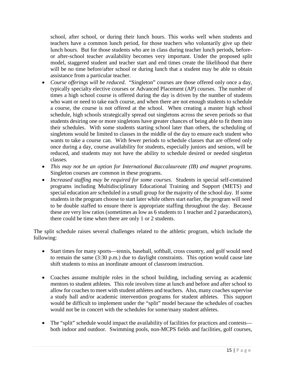school, after school, or during their lunch hours. This works well when students and teachers have a common lunch period, for those teachers who voluntarily give up their lunch hours. But for those students who are in class during teacher lunch periods, beforeor after-school teacher availability becomes very important. Under the proposed split model, staggered student and teacher start and end times create the likelihood that there will be no time before/after school or during lunch that a student may be able to obtain assistance from a particular teacher.

- *Course offerings will be reduced*. "Singleton" courses are those offered only once a day, typically specialty elective courses or Advanced Placement (AP) courses. The number of times a high school course is offered during the day is driven by the number of students who want or need to take each course, and when there are not enough students to schedule a course, the course is not offered at the school. When creating a master high school schedule, high schools strategically spread out singletons across the seven periods so that students desiring one or more singletons have greater chances of being able to fit them into their schedules. With some students starting school later than others, the scheduling of singletons would be limited to classes in the middle of the day to ensure each student who wants to take a course can. With fewer periods to schedule classes that are offered only once during a day, course availability for students, especially juniors and seniors, will be reduced, and students may not have the ability to schedule desired or needed singleton classes.
- *This may not be an option for International Baccalaureate (IB) and magnet programs*. Singleton courses are common in these programs.
- *Increased staffing may be required for some courses*. Students in special self-contained programs including Multidisciplinary Educational Training and Support (METS) and special education are scheduled in a small group for the majority of the school day. If some students in the program choose to start later while others start earlier, the program will need to be double staffed to ensure there is appropriate staffing throughout the day. Because these are very low ratios (sometimes as low as 6 students to 1 teacher and 2 paraeducators), there could be time when there are only 1 or 2 students.

The split schedule raises several challenges related to the athletic program, which include the following:

- Start times for many sports—tennis, baseball, softball, cross country, and golf would need to remain the same (3:30 p.m.) due to daylight constraints. This option would cause late shift students to miss an inordinate amount of classroom instruction.
- Coaches assume multiple roles in the school building, including serving as academic mentors to student athletes. This role involves time at lunch and before and after school to allow for coaches to meet with student athletes and teachers. Also, many coaches supervise a study hall and/or academic intervention programs for student athletes. This support would be difficult to implement under the "split" model because the schedules of coaches would not be in concert with the schedules for some/many student athletes.
- The "split" schedule would impact the availability of facilities for practices and contests both indoor and outdoor. Swimming pools, non-MCPS fields and facilities, golf courses,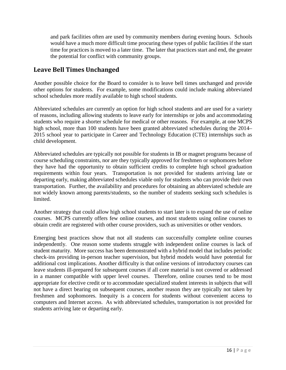and park facilities often are used by community members during evening hours. Schools would have a much more difficult time procuring these types of public facilities if the start time for practices is moved to a later time. The later that practices start and end, the greater the potential for conflict with community groups.

# **Leave Bell Times Unchanged**

Another possible choice for the Board to consider is to leave bell times unchanged and provide other options for students. For example, some modifications could include making abbreviated school schedules more readily available to high school students.

Abbreviated schedules are currently an option for high school students and are used for a variety of reasons, including allowing students to leave early for internships or jobs and accommodating students who require a shorter schedule for medical or other reasons. For example, at one MCPS high school, more than 100 students have been granted abbreviated schedules during the 2014– 2015 school year to participate in Career and Technology Education (CTE) internships such as child development.

Abbreviated schedules are typically not possible for students in IB or magnet programs because of course scheduling constraints, nor are they typically approved for freshmen or sophomores before they have had the opportunity to obtain sufficient credits to complete high school graduation requirements within four years. Transportation is not provided for students arriving late or departing early, making abbreviated schedules viable only for students who can provide their own transportation. Further, the availability and procedures for obtaining an abbreviated schedule are not widely known among parents/students, so the number of students seeking such schedules is limited.

Another strategy that could allow high school students to start later is to expand the use of online courses. MCPS currently offers few online courses, and most students using online courses to obtain credit are registered with other course providers, such as universities or other vendors.

Emerging best practices show that not all students can successfully complete online courses independently. One reason some students struggle with independent online courses is lack of student maturity. More success has been demonstrated with a hybrid model that includes periodic check-ins providing in-person teacher supervision, but hybrid models would have potential for additional cost implications. Another difficulty is that online versions of introductory courses can leave students ill-prepared for subsequent courses if all core material is not covered or addressed in a manner compatible with upper level courses. Therefore, online courses tend to be most appropriate for elective credit or to accommodate specialized student interests in subjects that will not have a direct bearing on subsequent courses, another reason they are typically not taken by freshmen and sophomores. Inequity is a concern for students without convenient access to computers and Internet access. As with abbreviated schedules, transportation is not provided for students arriving late or departing early.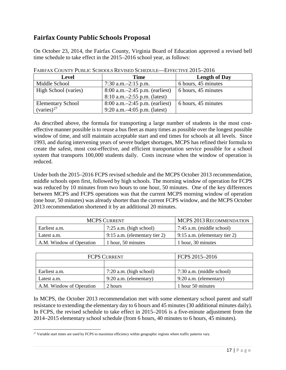# **Fairfax County Public Schools Proposal**

On October 23, 2014, the Fairfax County, Virginia Board of Education approved a revised bell time schedule to take effect in the 2015–2016 school year, as follows:

| <b>Level</b>             | <b>Time</b>                         | <b>Length of Day</b>  |
|--------------------------|-------------------------------------|-----------------------|
| Middle School            | 7:30 a.m. $-2:15$ p.m.              | 6 hours, 45 minutes   |
| High School (varies)     | $8:00$ a.m. $-2:45$ p.m. (earliest) | 6 hours, $45$ minutes |
|                          | $8:10$ a.m. $-2:55$ p.m. (latest)   |                       |
| <b>Elementary School</b> | $8:00$ a.m. $-2:45$ p.m. (earliest) | 6 hours, 45 minutes   |
| $(varies)^{27}$          | 9:20 a.m. $-4:05$ p.m. (latest)     |                       |

FAIRFAX COUNTY PUBLIC SCHOOLS REVISED SCHEDULE—EFFECTIVE 2015–2016

As described above, the formula for transporting a large number of students in the most costeffective manner possible is to reuse a bus fleet as many times as possible over the longest possible window of time, and still maintain acceptable start and end times for schools at all levels. Since 1993, and during intervening years of severe budget shortages, MCPS has refined their formula to create the safest, most cost-effective, and efficient transportation service possible for a school system that transports 100,000 students daily. Costs increase when the window of operation is reduced.

Under both the 2015–2016 FCPS revised schedule and the MCPS October 2013 recommendation, middle schools open first, followed by high schools. The morning window of operation for FCPS was reduced by 10 minutes from two hours to one hour, 50 minutes. One of the key differences between MCPS and FCPS operations was that the current MCPS morning window of operation (one hour, 50 minutes) was already shorter than the current FCPS window, and the MCPS October 2013 recommendation shortened it by an additional 20 minutes.

| <b>MCPS CURRENT</b>      |                                 | MCPS 2013 RECOMMENDATION                          |
|--------------------------|---------------------------------|---------------------------------------------------|
| Earliest a.m.            | $7:25$ a.m. (high school)       | 7:45 a.m. (middle school)                         |
| Latest a.m.              | $9:15$ a.m. (elementary tier 2) | $\frac{9:15 \text{ a.m.}}{2}$ (elementary tier 2) |
| A.M. Window of Operation | 1 hour, 50 minutes              | 1 hour, 30 minutes                                |

| <b>FCPS CURRENT</b>      |                           | FCPS 2015-2016            |
|--------------------------|---------------------------|---------------------------|
|                          |                           |                           |
| Earliest a.m.            | $7:20$ a.m. (high school) | 7:30 a.m. (middle school) |
| Latest a.m.              | $9:20$ a.m. (elementary)  | $9:20$ a.m. (elementary)  |
| A.M. Window of Operation | 2 hours                   | 1 hour 50 minutes         |

In MCPS, the October 2013 recommendation met with some elementary school parent and staff resistance to extending the elementary day to 6 hours and 45 minutes (30 additional minutes daily). In FCPS, the revised schedule to take effect in 2015–2016 is a five-minute adjustment from the 2014–2015 elementary school schedule (from 6 hours, 40 minutes to 6 hours, 45 minutes).

<span id="page-16-0"></span><sup>&</sup>lt;sup>27</sup> Variable start times are used by FCPS to maximize efficiency within geographic regions where traffic patterns vary. l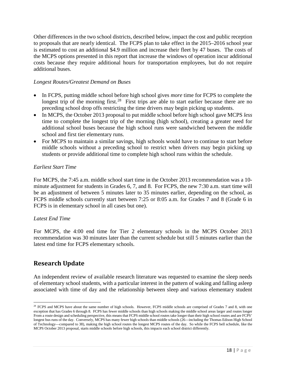Other differences in the two school districts, described below, impact the cost and public reception to proposals that are nearly identical. The FCPS plan to take effect in the 2015–2016 school year is estimated to cost an additional \$4.9 million and increase their fleet by 47 buses. The costs of the MCPS options presented in this report that increase the windows of operation incur additional costs because they require additional hours for transportation employees, but do not require additional buses.

#### *Longest Routes/Greatest Demand on Buses*

- In FCPS, putting middle school before high school gives *more* time for FCPS to complete the longest trip of the morning first.<sup>28</sup> First trips are able to start earlier because there are no preceding school drop offs restricting the time drivers may begin picking up students.
- In MCPS, the October 2013 proposal to put middle school before high school gave MCPS *less*  time to complete the longest trip of the morning (high school), creating a greater need for additional school buses because the high school runs were sandwiched between the middle school and first tier elementary runs.
- For MCPS to maintain a similar savings, high schools would have to continue to start before middle schools without a preceding school to restrict when drivers may begin picking up students or provide additional time to complete high school runs within the schedule.

#### *Earliest Start Time*

For MCPS, the 7:45 a.m. middle school start time in the October 2013 recommendation was a 10 minute adjustment for students in Grades 6, 7, and 8. For FCPS, the new 7:30 a.m. start time will be an adjustment of between 5 minutes later to 35 minutes earlier, depending on the school, as FCPS middle schools currently start between 7:25 or 8:05 a.m. for Grades 7 and 8 (Grade 6 in FCPS is in elementary school in all cases but one).

#### *Latest End Time*

For MCPS, the 4:00 end time for Tier 2 elementary schools in the MCPS October 2013 recommendation was 30 minutes later than the current schedule but still 5 minutes earlier than the latest end time for FCPS elementary schools.

## **Research Update**

 $\overline{\phantom{a}}$ 

An independent review of available research literature was requested to examine the sleep needs of elementary school students, with a particular interest in the pattern of waking and falling asleep associated with time of day and the relationship between sleep and various elementary student

<span id="page-17-0"></span><sup>&</sup>lt;sup>28</sup> FCPS and MCPS have about the same number of high schools. However, FCPS middle schools are comprised of Grades 7 and 8, with one exception that has Grades 6 through 8. FCPS has fewer middle schools than high schools making the middle school areas larger and routes longer From a route design and scheduling perspective, this means that FCPS middle school routes take longer than their high school routes and are FCPS' longest bus runs of the day. Conversely, MCPS has many fewer high schools than middle schools (26—including the Thomas Edison High School of Technology—compared to 38), making the high school routes the longest MCPS routes of the day. So while the FCPS bell schedule, like the MCPS October 2013 proposal, starts middle schools before high schools, this impacts each school district differently.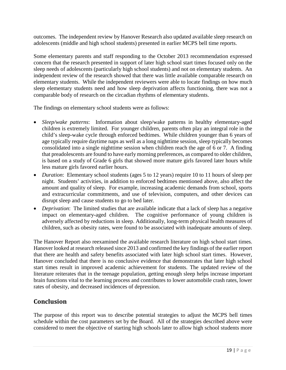outcomes. The independent review by Hanover Research also updated available sleep research on adolescents (middle and high school students) presented in earlier MCPS bell time reports.

Some elementary parents and staff responding to the October 2013 recommendation expressed concern that the research presented in support of later high school start times focused only on the sleep needs of adolescents (particularly high school students) and not on elementary students. An independent review of the research showed that there was little available comparable research on elementary students. While the independent reviewers were able to locate findings on how much sleep elementary students need and how sleep deprivation affects functioning, there was not a comparable body of research on the circadian rhythms of elementary students.

The findings on elementary school students were as follows:

- *Sleep/wake patterns*: Information about sleep/wake patterns in healthy elementary-aged children is extremely limited. For younger children, parents often play an integral role in the child's sleep-wake cycle through enforced bedtimes. While children younger than 6 years of age typically require daytime naps as well as a long nighttime session, sleep typically becomes consolidated into a single nighttime session when children reach the age of 6 or 7. A finding that preadolescents are found to have early morning preferences, as compared to older children, is based on a study of Grade 6 girls that showed more mature girls favored later hours while less mature girls favored earlier hours.
- *Duration*: Elementary school students (ages 5 to 12 years) require 10 to 11 hours of sleep per night. Students' activities, in addition to enforced bedtimes mentioned above, also affect the amount and quality of sleep. For example, increasing academic demands from school, sports and extracurricular commitments, and use of television, computers, and other devices can disrupt sleep and cause students to go to bed later.
- *Deprivation*: The limited studies that are available indicate that a lack of sleep has a negative impact on elementary-aged children. The cognitive performance of young children is adversely affected by reductions in sleep. Additionally, long-term physical health measures of children, such as obesity rates, were found to be associated with inadequate amounts of sleep.

The Hanover Report also reexamined the available research literature on high school start times. Hanover looked at research released since 2013 and confirmed the key findings of the earlier report that there are health and safety benefits associated with later high school start times. However, Hanover concluded that there is no conclusive evidence that demonstrates that later high school start times result in improved academic achievement for students. The updated review of the literature reiterates that in the teenage population, getting enough sleep helps increase important brain functions vital to the learning process and contributes to lower automobile crash rates, lower rates of obesity, and decreased incidences of depression.

# **Conclusion**

The purpose of this report was to describe potential strategies to adjust the MCPS bell times schedule within the cost parameters set by the Board. All of the strategies described above were considered to meet the objective of starting high schools later to allow high school students more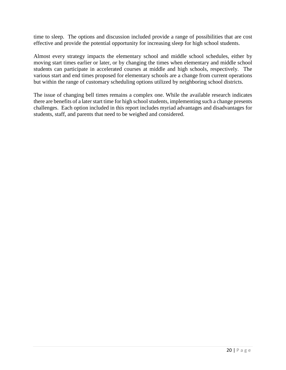time to sleep. The options and discussion included provide a range of possibilities that are cost effective and provide the potential opportunity for increasing sleep for high school students.

Almost every strategy impacts the elementary school and middle school schedules, either by moving start times earlier or later, or by changing the times when elementary and middle school students can participate in accelerated courses at middle and high schools, respectively. The various start and end times proposed for elementary schools are a change from current operations but within the range of customary scheduling options utilized by neighboring school districts.

The issue of changing bell times remains a complex one. While the available research indicates there are benefits of a later start time for high school students, implementing such a change presents challenges. Each option included in this report includes myriad advantages and disadvantages for students, staff, and parents that need to be weighed and considered.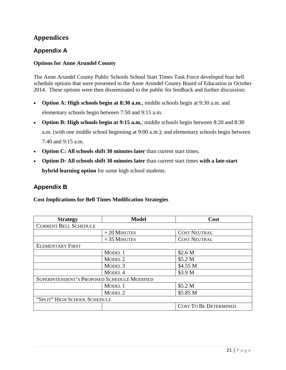# **Appendices**

# **Appendix A**

#### **Options for Anne Arundel County**

The Anne Arundel County Public Schools School Start Times Task Force developed four bell schedule options that were presented to the Anne Arundel County Board of Education in October 2014. These options were then disseminated to the public for feedback and further discussion:

- **Option A: High schools begin at 8:30 a.m.**; middle schools begin at 9:30 a.m. and elementary schools begin between 7:50 and 9:15 a.m.
- **Option B: High schools begin at 9:15 a.m.**; middle schools begin between 8:20 and 8:30 a.m. (with one middle school beginning at 9:00 a.m.); and elementary schools begin between 7:40 and 9:15 a.m.
- **Option C: All schools shift 30 minutes later** than current start times.
- **Option D: All schools shift 30 minutes later** than current start times **with a late-start hybrid learning option** for some high school students.

## **Appendix B**

**Cost Implications for Bell Times Modification Strategies**

| <b>Strategy</b>                             | <b>Model</b>       | Cost                         |
|---------------------------------------------|--------------------|------------------------------|
| <b>CURRENT BELL SCHEDULE</b>                |                    |                              |
|                                             | $+20$ MINUTES      | <b>COST NEUTRAL</b>          |
|                                             | $+35$ MINUTES      | <b>COST NEUTRAL</b>          |
| <b>ELEMENTARY FIRST</b>                     |                    |                              |
|                                             | MODEL 1            | \$2.6 <sub>M</sub>           |
|                                             | MODEL <sub>2</sub> | \$5.2 M                      |
|                                             | MODEL <sub>3</sub> | \$4.55 M                     |
|                                             | MODEL <sub>4</sub> | \$3.9 M                      |
| SUPERINTENDENT'S PROPOSED SCHEDULE MODIFIED |                    |                              |
|                                             | MODEL 1            | \$5.2 M                      |
|                                             | MODEL <sub>2</sub> | \$5.85 M                     |
| "SPLIT" HIGH SCHOOL SCHEDULE                |                    |                              |
|                                             |                    | <b>COST TO BE DETERMINED</b> |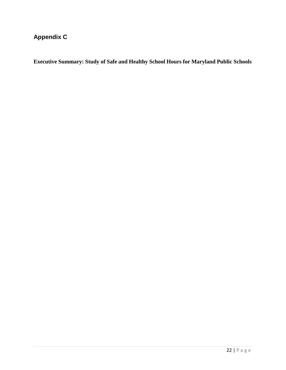# **Appendix C**

**Executive Summary: Study of Safe and Healthy School Hours for Maryland Public Schools**